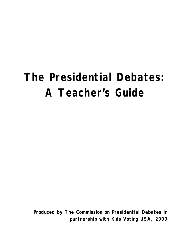# **The Presidential Debates: A Teacher's Guide**

**Produced by The Commission on Presidential Debates in partnership with Kids Voting USA, 2000**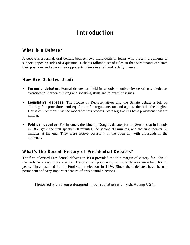# **Introduction**

#### **What is a Debate?**

A debate is a formal, oral contest between two individuals or teams who present arguments to support opposing sides of a question. Debates follow a set of rules so that participants can state their positions and attack their opponents' views in a fair and orderly manner.

#### **How Are Debates Used?**

- **Forensic debates**: Formal debates are held in schools or university debating societies as exercises to sharpen thinking and speaking skills and to examine issues.
- **Legislative debates**: The House of Representatives and the Senate debate a bill by allotting fair procedures and equal time for arguments for and against the bill. The English House of Commons was the model for this process. State legislatures have provisions that are similar.
- **Political debates**: For instance, the Lincoln-Douglas debates for the Senate seat in Illinois in 1858 gave the first speaker 60 minutes, the second 90 minutes, and the first speaker 30 minutes at the end. They were festive occasions in the open air, with thousands in the audience.

### **What's the Recent History of Presidential Debates?**

The first televised Presidential debates in 1960 provided the thin margin of victory for John F. Kennedy in a very close election. Despite their popularity, no more debates were held for 16 years. They resumed in the Ford-Carter election in 1976. Since then, debates have been a permanent and very important feature of presidential elections.

These activities were designed in collaboration with Kids Voting USA.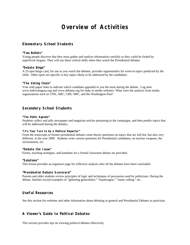# **Overview of Activities**

#### **Elementary School Students**

#### **"Two Ballots"**

Young people discover that they must gather and analyze information carefully or they could be fooled by superficial slogans. They will use these critical skills when they watch the Presidential debates.

#### **"Debate Bingo"**

A 25-spot bingo card, for use as you watch the debates, provides opportunities for write-in topics predicted by the child. Other spots are specific to key topics likely to be addressed by the candidates.

#### **"The Voting Chain"**

Vote with paper links to indicate which candidate appealed to you the most during the debate. Log onto www.kidsvotingusa.org and www.debates.org for links to media websites. What were the analysis from media organizations such as CNN, ABC, CBS, NBC, and the Washington Post?

#### **Secondary School Students**

#### **"The Public Agenda"**

Students collect and tally newspaper and magazine articles pertaining to the campaigns, and then predict topics that will be addressed during the debates.

#### **"It's Your Turn to be a Political Reporter"**

From the transcripts of former presidential debates come thorny questions on topics that are still hot, but also very different, in the year 2000. Students write current questions for Presidential candidates, on nuclear weapons, the environment, etc.

#### **"Debate the Issue"**

Forms, teaching strategies, and handouts for a formal classroom debate are provided.

#### **"Solutions"**

This lesson provides an organizer page for reflective analysis after all the debates have been concluded.

#### **"Presidential Debate Scorecard"**

Parents and older students review principles of logic and techniques of persuasion used by politicians. During the debate, families record examples of "glittering generalities," "bandwagon," "name calling," etc.

#### **Useful Resources**

See this section for websites and other information about debating in general and Presidential Debates in particular.

#### **A Viewer's Guide to Political Debates**

This section provides tips on viewing political debates effectively.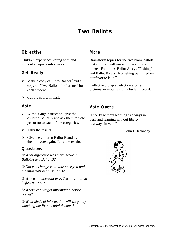# **Two Ballots**

### **Objective**

Children experience voting with and without adequate information.

### **Get Ready**

- $\triangleright$  Make a copy of "Two Ballots" and a copy of "Two Ballots for Parents" for each student.
- $\triangleright$  Cut the copies in half.

#### **Vote**

- $\triangleright$  Without any instruction, give the children Ballot A and ask them to vote yes or no to each of the categories.
- $\triangleright$  Tally the results.
- $\triangleright$  Give the children Ballot B and ask them to vote again. Tally the results.

#### **Questions**

 *What difference was there between Ballot A and Ballot B?*

 *Did you change your vote once you had the information on Ballot B?*

 *Why is it important to gather information before we vote?*

 *Where can we get information before voting?*

 *What kinds of information will we get by watching the Presidential debates?*

#### **More!**

Brainstorm topics for the two blank ballots that children will use with the adults at home. Example: Ballot A says "Fishing" and Ballot B says "No fishing permitted on our favorite lake."

Collect and display election articles, pictures, or materials on a bulletin board.

### **Vote Quote**

"Liberty without learning is always in peril and learning without liberty is always in vain."

- John F. Kennedy

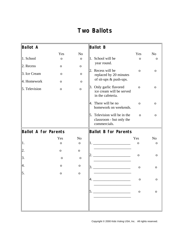# **Two Ballots**

| <b>Ballot A</b>                                                                      |                                                             |                                                        | <b>Ballot B</b>                                                                                                                                                                                                                                                                  |                                                      |                                                              |
|--------------------------------------------------------------------------------------|-------------------------------------------------------------|--------------------------------------------------------|----------------------------------------------------------------------------------------------------------------------------------------------------------------------------------------------------------------------------------------------------------------------------------|------------------------------------------------------|--------------------------------------------------------------|
| $\ 1.$ School                                                                        | Yes<br>$\mathbf{o}$                                         | N <sub>o</sub><br>$\mathbf{O}$                         | 1. School will be<br>year round.                                                                                                                                                                                                                                                 | Yes<br>$\mathbf{o}$                                  | N <sub>o</sub><br>О                                          |
| $\vert$ 2. Recess<br>$\beta$ . Ice Cream<br>$\ 4.$ Homework<br>$\vert$ 5. Television | $\mathbf O$<br>$\mathbf{O}$<br>$\mathbf{O}$<br>$\mathbf{O}$ | ${\bf O}$<br>$\mathbf 0$<br>$\mathbf 0$<br>$\mathbf 0$ | Recess will be<br>2.<br>replaced by 20 minutes<br>of sit-ups & push-ups.<br>3. Only garlic flavored<br>ice cream will be served<br>in the cafeteria.<br>4. There will be no<br>homework on weekends.<br>5. Television will be in the<br>classroom - but only the<br>commercials. | $\Omega$<br>$\Omega$<br>$\mathbf{o}$<br>$\mathbf{O}$ | $\mathbf{O}$<br>$\mathbf{O}$<br>$\mathbf{O}$<br>$\mathbf{O}$ |
| <b>Ballot A for Parents</b>                                                          |                                                             |                                                        | <b>Ballot B for Parents</b>                                                                                                                                                                                                                                                      |                                                      |                                                              |
| $ 1$ .                                                                               | Yes<br>$\mathbf O$                                          | N <sub>o</sub><br>0                                    |                                                                                                                                                                                                                                                                                  | Yes<br>$\mathbf O$                                   | N <sub>o</sub><br>0                                          |
| 3.                                                                                   | $\mathbf{O}$<br>$\Omega$                                    | ${\bf O}$<br>$\mathbf 0$                               |                                                                                                                                                                                                                                                                                  | $\mathbf 0$                                          | 0                                                            |
| 14                                                                                   | 0                                                           | 0                                                      | 3.<br><u> 1989 - Johann Barbara, martxa alemani</u> ar a                                                                                                                                                                                                                         | $\mathbf 0$                                          | $\mathbf{O}$                                                 |
| 15.                                                                                  | $\mathbf 0$                                                 | $\mathbf{O}$                                           | 5.                                                                                                                                                                                                                                                                               | $\mathbf 0$<br>$\mathbf{O}$                          | 0<br>$\mathbf O$                                             |
|                                                                                      |                                                             |                                                        |                                                                                                                                                                                                                                                                                  |                                                      |                                                              |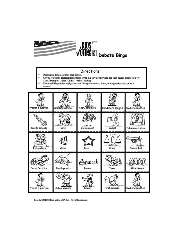

#### Directions

- Duplicate a bingo card for each player.  $\blacksquare$
- As you watch the presidential debates, write in a key debate word for each square before you "X"<br>it out. Example: Under "China," write "*trading."*<br>The usual Bingo rules apply: cross off five spaces across, down, or diagon
- winner!



Copyright @ 2000 Kids Voting USA, Inc. All rights reserved.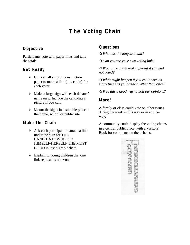# **The Voting Chain**

#### **Objective**

Participants vote with paper links and tally the totals.

### **Get Ready**

- $\triangleright$  Cut a small strip of construction paper to make a link (in a chain) for each voter.
- $\triangleright$  Make a large sign with each debater's name on it. Include the candidate's picture if you can.
- $\triangleright$  Mount the signs in a suitable place in the home, school or public site.

#### **Make the Chain**

- $\triangleright$  Ask each participant to attach a link under the sign for THE CANDIDATE WHO DID HIMSELF/HERSELF THE MOST GOOD in last night's debate.
- $\triangleright$  Explain to young children that one link represents one vote.

### **Questions**

 *Who has the longest chain?*

 *Can you see your own voting link?*

 *Would the chain look different if you had not voted?*

 *What might happen if you could vote as many times as you wished rather than once?*

 *Was this a good way to poll our opinions?*

#### **More!**

A family or class could vote on other issues during the week in this way or in another way.

A community could display the voting chains in a central public place, with a Visitors' Book for comments on the debates.

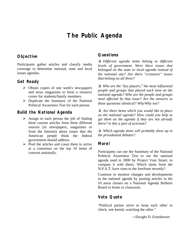# **The Public Agenda**

#### **Objective**

Participants gather articles and classify media coverage to determine national, state and local issues agendas.

#### **Get Ready**

- $\triangleright$  Obtain copies of one week's newspapers and news magazines to form a resource center for students/family members.
- $\triangleright$  Duplicate the Summary of the National Political Awareness Test for each person.

#### **Build the National Agenda**

- $\triangleright$  Assign to each person the job of finding three current articles from three different sources (in newspapers, magazines or from the Internet) about issues that the American people think the federal government should address.
- $\triangleright$  Pool the articles and count them to arrive at a consensus on the top 10 items of concern nationally.

#### **Questions**

*Different agenda items belong to different levels of government. Were there issues that belonged on the state or local agenda instead of the national one? Are there "crossover" issues that belong on all three?*

 *Who are the "key players," the most influential people and groups that placed each item on the national agenda? Who are the people and groups most affected by that issue? Are the answers to these questions identical? Why/Why not?*

 *Are there items which you would like to place on the national agenda? How could you help to get them on the agenda if they are not already there? Is this a part of activism?*

 *Which agenda items will probably show up in the presidential debates?*

#### **More!**

Participants can use the Summary of the National Political Awareness Test to see the national agenda used in 2000 by Project Vote Smart, to compare it with theirs. Which items from the N.P.A.T. have risen to the forefront recently?

Continue to monitor changes and developments in the national agenda by posting articles in the 10 areas chosen on a National Agenda Bulletin Board in home or classroom.

#### **Vote Quote**

"Political parties serve to keep each other in check, one keenly watching the other."

—Dwight D. Eisenhower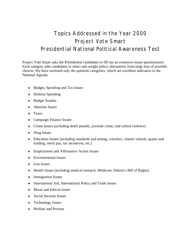# Topics Addressed in the Year 2000 Project Vote Smart Presidential National Political Awareness Test

Project Vote Smart asks the Presidential candidates to fill out an extensive issues questionnaire. Each category asks candidates to select and weight policy alternatives from large lists of possible choices. We have enclosed only the question categories, which are excellent indicators to the National Agenda.

- $\star$  Budget, Spending and Tax Issues
- $\star$  Defense Spending
- $\star$  Budget Surplus
- $\star$  Abortion Issues
- $\star$  Taxes
- $\star$  Campaign Finance Issues
- $\star$  Crime Issues (including death penalty, juvenile crime, and school violence)
- $\star$  Drug Issues
- $\star$  Education Issues (including standards and testing, vouchers, charter schools, grants and funding, merit pay, tax incentives, etc.)
- $\star$  Employment and Affirmative Action Issues
- $\star$  Environmental Issues
- $\star$  Gun Issues
- \* Health Issues (including medical research, Medicare, Patient's Bill of Rights)
- $\star$  Immigration Issues
- $\star$  International Aid, International Policy and Trade Issues
- $\star$  Moral and Ethical Issues
- $\star$  Social Security Issues
- $\star$  Technology Issues
- $\star$  Welfare and Poverty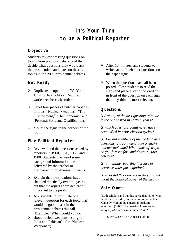# **It's Your Turn to be a Political Reporter**

# **Objective**

Students review pressing questions on topics from previous debates and then decide what questions they would ask the presidential candidates on these same topics in the 2000 presidential debates.

### **Get Ready**

- $\triangleright$  Duplicate a copy of the "It's Your" Turn to Be a Political Reporter!" worksheet for each student.
- $\triangleright$  Label four pieces of butcher paper as follows: "Nuclear Weapons," "The Environment," "The Economy," and "Personal Style and Qualifications."
- $\triangleright$  Mount the signs in the corners of the room.

### **Play Political Reporter**

- $\triangleright$  Review aloud the questions asked by reporters in 1960, 1976, 1980, and 1988. Students may need some background information, best delivered by the teacher or discovered through research teams.
- $\triangleright$  Explain that the situations have changed drastically over the years, but that the *topics* addressed are still important to the public.
- $\triangleright$  Ask students to formulate one relevant question for each topic that would be good to ask in the presidential debates this fall. (Example: "What would you do
- $\triangleright$  about nuclear weapons testing in India and Pakistan?" for "Nuclear Weapons.")
- $\triangleright$  After 10 minutes, ask students to write each of their four questions on the paper signs.
- $\triangleright$  When the questions have all been posted, allow students to read the signs and place a star or colored dot in front of the question on each sign that they think is most relevant.

# **Questions**

 *Are any of the best questions similar to the ones asked in earlier years?*

 *Which questions could never have been asked in prior election cycles?*

 *How did members of the media frame questions to trap a candidate or make him/her look bad? What kinds of traps do you foresee for candidates in 2000 debates?*

 *Will online reporting increase or decrease voter participation?*

 *What did this exercise make you think about the political power of the media?*

# **Vote Quote**

"Both scholars and pundits agree that Nixon won the debate on radio, but most important is that Kennedy won on the emerging medium, television. (1960) The question I pose to you today is, *who will win online in 2000*?"

-Steve Case, CEO, America Online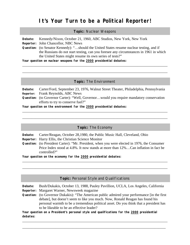# **It's Your Turn to be a Political Reporter!**

#### **Topic:** Nuclear Weapons

**Debate:** Kennedy/Nixon, October 21, 1960, ABC Studios, New York, New York

**Reporter:** John Chancellor, NBC News

**Question:** (to Senator Kennedy): "…should the United States resume nuclear testing, and if the Russians do not start testing, can you foresee any circumstances in 1961 in which the United States might resume its own series of tests?"

\_\_\_\_\_\_\_\_\_\_\_\_\_\_\_\_\_\_\_\_\_\_\_\_\_\_\_\_\_\_\_\_\_\_\_\_\_\_\_\_\_\_\_\_\_\_\_\_\_\_\_\_\_\_\_\_\_\_\_\_\_\_\_\_\_\_\_\_\_\_\_\_\_\_\_\_\_\_

\_\_\_\_\_\_\_\_\_\_\_\_\_\_\_\_\_\_\_\_\_\_\_\_\_\_\_\_\_\_\_\_\_\_\_\_\_\_\_\_\_\_\_\_\_\_\_\_\_\_\_\_\_\_\_\_\_\_\_\_\_\_\_\_\_\_\_\_\_\_\_\_\_\_\_\_\_\_

**Your question on nuclear weapons for the 2000 presidential debates:**

#### **Topic:** The Environment

**Debate:** Carter/Ford, September 23, 1976, Walnut Street Theater, Philadelphia, Pennsylvania **Reporter:** Frank Reynolds, ABC News

**Question:** (to Governor Carter): "Well, Governor…would you require mandatory conservation efforts to try to conserve fuel?"

\_\_\_\_\_\_\_\_\_\_\_\_\_\_\_\_\_\_\_\_\_\_\_\_\_\_\_\_\_\_\_\_\_\_\_\_\_\_\_\_\_\_\_\_\_\_\_\_\_\_\_\_\_\_\_\_\_\_\_\_\_\_\_\_\_\_\_\_\_\_\_\_\_\_\_\_\_\_

\_\_\_\_\_\_\_\_\_\_\_\_\_\_\_\_\_\_\_\_\_\_\_\_\_\_\_\_\_\_\_\_\_\_\_\_\_\_\_\_\_\_\_\_\_\_\_\_\_\_\_\_\_\_\_\_\_\_\_\_\_\_\_\_\_\_\_\_\_\_\_\_\_\_\_\_\_\_

**Your question on the environment for the 2000 presidential debates:**

#### **Topic:** The Economy

**Debate:** Carter/Reagan, October 28,1980, the Public Music Hall, Cleveland, Ohio

- **Reporter:** Harry Ellis, the Christian Science Monitor
- **Question:** (to President Carter): "Mr. President, when you were elected in 1976, the Consumer Price Index stood at 4.8%. It now stands at more than 12%…Can inflation in fact be controlled?"

\_\_\_\_\_\_\_\_\_\_\_\_\_\_\_\_\_\_\_\_\_\_\_\_\_\_\_\_\_\_\_\_\_\_\_\_\_\_\_\_\_\_\_\_\_\_\_\_\_\_\_\_\_\_\_\_\_\_\_\_\_\_\_\_\_\_\_\_\_\_\_\_\_\_\_\_\_\_

\_\_\_\_\_\_\_\_\_\_\_\_\_\_\_\_\_\_\_\_\_\_\_\_\_\_\_\_\_\_\_\_\_\_\_\_\_\_\_\_\_\_\_\_\_\_\_\_\_\_\_\_\_\_\_\_\_\_\_\_\_\_\_\_\_\_\_\_\_\_\_\_\_\_\_\_\_\_

**Your question on the economy for the 2000 presidential debates:**

#### **Topic:** Personal Style and Qualifications

**Debate:** Bush/Dukakis, October 13, 1988, Pauley Pavillion, UCLA, Los Angeles, California **Reporter:** Margaret Warner, Newsweek magazine

**Question:** (to Governor Dukakis): "The American public admired your performance [in the first debate], but doesn't seem to like you much. Now, Ronald Reagan has found his personal warmth to be a tremendous political asset. Do you think that a president has to be likeable to be an effective leader?

\_\_\_\_\_\_\_\_\_\_\_\_\_\_\_\_\_\_\_\_\_\_\_\_\_\_\_\_\_\_\_\_\_\_\_\_\_\_\_\_\_\_\_\_\_\_\_\_\_\_\_\_\_\_\_\_\_\_\_\_\_\_\_\_\_\_\_\_\_\_\_\_\_\_\_\_\_\_

\_\_\_\_\_\_\_\_\_\_\_\_\_\_\_\_\_\_\_\_\_\_\_\_\_\_\_\_\_\_\_\_\_\_\_\_\_\_\_\_\_\_\_\_\_\_\_\_\_\_\_\_\_\_\_\_\_\_\_\_\_\_\_\_\_\_\_\_\_\_\_\_\_\_\_\_\_

**Your question on a President's personal style and qualifications for the 2000 presidential debates:**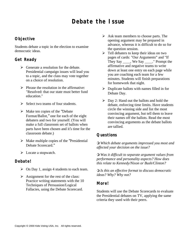# **Debate the Issue**

### **Objective**

Students debate a topic in the election to examine democratic ideas.

## **Get Ready**

- $\triangleright$  Generate a resolution for the debate. Presidential campaign issues will lead you to a topic, and the class may vote together on a choice of resolution.
- $\triangleright$  Phrase the resolution in the affirmative: "Resolved: that our state must better fund education."
- $\triangleright$  Select two teams of four students.
- $\triangleright$  Make ten copies of the "Debate" Format/Ballot," one for each of the eight debaters and two for yourself. (You will make a full classroom set of ballots when parts have been chosen and it's time for the classroom debate.)
- $\triangleright$  Make multiple copies of the "Presidential" Debate Scorecard."
- $\triangleright$  Locate a stopwatch.

#### **Debate!**

- $\triangleright$  On Day 1, assign 4 students to each team.
- $\triangleright$  Assignment for the rest of the class: Practice writing statements with the 10 Techniques of Persuasion/Logical Fallacies, using the Debate Scorecard.
- $\triangleright$  Ask team members to choose parts. The opening argument may be prepared in advance, whereas it is difficult to do so for the question session.
- $\triangleright$  Tell debaters to keep their ideas on two pages of cards: "Our Arguments" and "If They Say \_\_\_\_, We Say \_\_\_\_." Prompt the affirmative and negative teams to write down at least one entry on each page while you are coaching each team for a few minutes. Students will finish preparations for homework that night.
- $\triangleright$  Duplicate ballots with names filled in for Debate Day.
- $\triangleright$  Day 2: Hand out the ballots and hold the debate, enforcing time limits. Have students circle the winning side and list the most convincing argument, but tell them to leave their names off the ballots. Read the most convincing arguments as the debate ballots are tallied.

### **Questions**

 *Which debate arguments impressed you most and affected your decision on the issue?*

 *Was it difficult to separate argument values from performance and personality aspects? How does this relate to Kennedy/Nixon or Bush/Clinton?*

 *Is this an effective format to discuss democratic ideas? Why? Why not?*

#### **More!**

Students will use the Debate Scorecards to evaluate the Presidential debates on TV, applying the same criteria they used with their peers.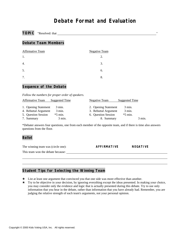# **Debate Format and Evaluation**

**TOPIC** "Resolved: that  $\blacksquare$ 

#### **Debate Team Members**

| Affirmative Team | <b>Negative Team</b> |
|------------------|----------------------|
| 1.               | 2.                   |
| $\overline{4}$   | 3.                   |
| 5.               | 6.                   |
| 7.               | 8.                   |

#### **Sequence of the Debate**

*Follow the numbers for proper order of speakers.*

| Affirmative Team<br>Suggested Time        | Negative Team        | Suggested Time   |
|-------------------------------------------|----------------------|------------------|
| 1. Opening Statement<br>$3 \text{ min}$ . | 2. Opening Statement | $3 \text{ min.}$ |
| 4. Rebuttal Argument<br>$3 \text{ min}$ . | 3. Rebuttal Argument | $3 \text{ min.}$ |
| 5. Question Session<br>$*5$ min.          | 6. Question Session  | $*5$ min.        |
| $3 \text{ min.}$<br>7. Summary            | 8. Summary           | $3 \text{ min.}$ |

\*Debater answers four questions, one from each member of the opposite team, and if there is time also answers questions from the floor.

#### **Ballot**

| The winning team was (circle one): | <b>AFFIRMATIVE</b> | <b>NEGATIVE</b> |  |
|------------------------------------|--------------------|-----------------|--|
| This team won the debate because:  |                    |                 |  |
|                                    |                    |                 |  |
|                                    |                    |                 |  |

#### **Student Tips for Selecting the Winning Team**

- $\star$  List at least one argument that convinced you that one side was more effective than another.
- $\star$  Try to be objective in your decision, by ignoring everything except the ideas presented. In making your choice, you may consider only the evidence and logic that is actually presented during this debate. Try to use only information that you hear in the debate, rather than information that you have already had. Remember, you are judging the relative strength of each team's arguments, not your personal opinion.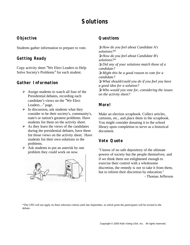# **Solutions**

### **Objective**

Students gather information to prepare to vote.

### **Getting Ready**

Copy activity sheet "We Elect Leaders to Help Solve Society's Problems" for each student.

### **Gather Information**

- $\triangleright$  Assign students to watch all four of the Presidential debates, recording each candidate's views on the "We Elect Leaders…" page.
- $\triangleright$  In discussion, ask students what they consider to be their society's, community's, state's or nation's greatest problems. Have students list them on the activity sheet.
- $\triangleright$  As they learn the views of the candidates during the presidential debates, have them list those views on the activity sheet. Have students list their own solutions to the problems.
- $\triangleright$  Ask students to put an asterisk by one problem they could work on now.



#### **Questions**

*How do you feel about Candidate A's solutions?\* How do you feel about Candidate B's solutions?\* Did any of your solutions match those of a candidate? Might this be a good reason to vote for a candidate? What should/could you do if you feel you have a good idea for a solution? Who would you vote for, considering the issues on the activity sheet?*

### **More!**

Make an election scrapbook. Collect articles, cartoons, etc., and place them in the scrapbook. You might consider donating it to the school library upon completion to serve as a historical document.

### **Vote Quote**

"I know of no safe depository of the ultimate powers of society but the people themselves; and if we think them not enlightened enough to exercise their control with a wholesome discretion, the remedy is not to take it from them, but to inform their discretion by education."

- Thomas Jefferson

\*The CPD will not apply its three selection criteria until late September, at which point the participants will be invited to the debate.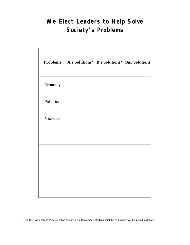# **We Elect Leaders to Help Solve Society's Problems**

| <b>Problems</b> | A's Solutions*   B's Solutions*   Our Solutions |  |
|-----------------|-------------------------------------------------|--|
| Economy         |                                                 |  |
| Pollution       |                                                 |  |
| Violence        |                                                 |  |
|                 |                                                 |  |
|                 |                                                 |  |
|                 |                                                 |  |
|                 |                                                 |  |

\*The CPD will apply its three selection criteria in late September, at which point the participants will be invited to debate.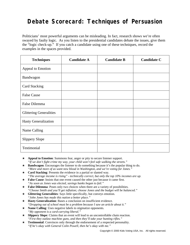# **Debate Scorecard: Techniques of Persuasion**

Politicians' most powerful arguments can be misleading. In fact, research shows we're often swayed by faulty logic. As you listen to the presidential candidates debate the issues, give them the "logic check-up." If you catch a candidate using one of these techniques, record the examples in the spaces provided.

| <b>Techniques</b>              | <b>Candidate A</b> | <b>Candidate B</b> | <b>Candidate C</b> |
|--------------------------------|--------------------|--------------------|--------------------|
| Appeal to Emotion              |                    |                    |                    |
| Bandwagon                      |                    |                    |                    |
| <b>Card Stacking</b>           |                    |                    |                    |
| <b>False Cause</b>             |                    |                    |                    |
| False Dilemma                  |                    |                    |                    |
| <b>Glittering Generalities</b> |                    |                    |                    |
| <b>Hasty Generalization</b>    |                    |                    |                    |
| Name Calling                   |                    |                    |                    |
| <b>Slippery Slope</b>          |                    |                    |                    |
| Testimonial                    |                    |                    |                    |

- ★ **Appeal to Emotion**: Summons fear, anger or pity to secure listener support. *"If we don't fight crime my way, your child won't feel safe walking the streets."*
- **★** Bandwagon: Encourages the listener to do something because it's the popular thing to do. *"More and more of us want new blood in Washington, and we're voting for Jones."*
- ★ **Card Stacking**: Presents the evidence in a partial or slanted way. *"The average income is rising" - technically correct, but only the top 10% incomes are up.*
- ★ False Cause: Insists that one event caused the other just because it came first. *"As soon as Jones was elected, savings banks began to fail."*
- $\star$  **False Dilemma**: Poses only two choices when there are a variety of possibilities. *"Choose Smith and you'll get inflation; choose Jones and the budget will be balanced."*
- ★ Glittering Generalities: Says little specifically, but conveys emotion. *"John Jones has made this nation a better place."*
- ★ **Hasty Generalization**: Bases a conclusion on insufficient evidence. *"Dropping out of school must be a problem because I saw an article about it."*
- $\star$  **Name Calling**: Uses negative labels to stigmatize opponents. *"My opponent is a card-carrying liberal."*
- $\star$  **Slippery Slope**: Claims that an event will lead to an uncontrollable chain reaction. *"First they outlaw machine guns, and then they'll take your hunting rifles."*
- $\star$  **Testimonial:** Convinces only through the endorsement of a respected personality. *"If he's okay with General Colin Powell, then he's okay with me."*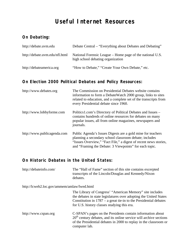# **Useful Internet Resources**

## **On Debating:**

| http://debate.uvm.edu          | Debate Central – "Everything about Debates and Debating"                                       |
|--------------------------------|------------------------------------------------------------------------------------------------|
| http://debate.uvm.edu/nfl.html | National Forensic League – Home page of the national U.S.<br>high school debating organization |
| http://debateamerica.org       | "How to Debate," "Create Your Own Debate," etc.                                                |

### **On Election 2000 Political Debates and Policy Resources:**

| http://www.debates.org      | The Commission on Presidential Debates website contains<br>information to form a DebateWatch 2000 group, links to sites<br>related to education, and a complete set of the transcripts from<br>every Presidential debate since 1960.                |
|-----------------------------|-----------------------------------------------------------------------------------------------------------------------------------------------------------------------------------------------------------------------------------------------------|
| http://www.lobbyforme.com   | Politics1.com's Directory of Political Debates and Issues –<br>contains hundreds of online resources for debates on many<br>popular issues, all from online magazines, newspapers and<br>journals.                                                  |
| http://www.publicagenda.com | Public Agenda's Issues Digests are a gold mine for teachers<br>planning a secondary school classroom debate; includes<br>"Issues Overview," "Fact File," a digest of recent news stories,<br>and "Framing the Debate: 3 Viewpoints" for each topic. |

### **On Historic Debates in the United States:**

http://debateinfo.com/ The "Hall of Fame" section of this site contains excerpted transcripts of the Lincoln/Douglas and Kennedy/Nixon debates.

computer lab.

http://lcweb2.loc.gov/ammem/amlaw/lwed.html

|                      | The Library of Congress' "American Memory" site includes<br>the debates in state legislatures over adopting the United States<br>Constitution in $1787 - a$ great tie-in to the Presidential debates<br>for U.S. history classes studying this era. |
|----------------------|-----------------------------------------------------------------------------------------------------------------------------------------------------------------------------------------------------------------------------------------------------|
| http://www.cspan.org | C-SPAN's pages on the Presidents contain information about<br>$20th$ century debates, and its online service will archive sections<br>of the Presidential debates in 2000 to replay in the classroom or                                             |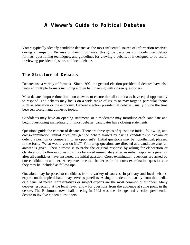# **A Viewer's Guide to Political Debates**

Voters typically identify candidate debates as the most influential source of information received during a campaign. Because of their importance, this guide describes commonly used debate formats, questioning techniques, and guidelines for viewing a debate. It is designed to be useful in viewing presidential, state, and local debates.

#### **The Structure of Debates**

Debates use a variety of formats. Since 1992, the general election presidential debates have also featured multiple formats including a town hall meeting with citizen questioners.

Most debates impose time limits on answers to ensure that all candidates have equal opportunity to respond. The debates may focus on a wide range of issues or may target a particular theme such as education or the economy. General election presidential debates usually divide the time between foreign and domestic topics.

Candidates may have an opening statement, or a moderator may introduce each candidate and begin questioning immediately. In most debates, candidates have closing statements.

Questions guide the content of debates. There are three types of questions: initial, follow-up, and cross-examination. Initial questions get the debate started by asking candidates to explain or defend a position or compare it to an opponent's Initial questions may be hypothetical, phrased in the form, "What would you do if...?" Follow-up questions are directed at a candidate after an answer is given. Their purpose is to probe the original response by asking for elaboration or clarification. Follow-up questions may be asked immediately after an initial response is given or after all candidates have answered the initial question. Cross-examination questions are asked by one candidate to another. A separate time can be set aside for cross-examination questions or they may be included as follow-ups.

Questions may be posed to candidates from a variety of sources. In primary and local debates, experts on the topic debated may serve as panelists. A single moderator, usually from the media, or a panel of media representatives or subject experts are the most common questioners. Many debates, especially at the local level, allow for questions from the audience at some point in the debate. The Richmond town hall meeting in 1992 was the first general election presidential debate to involve citizen questioners.